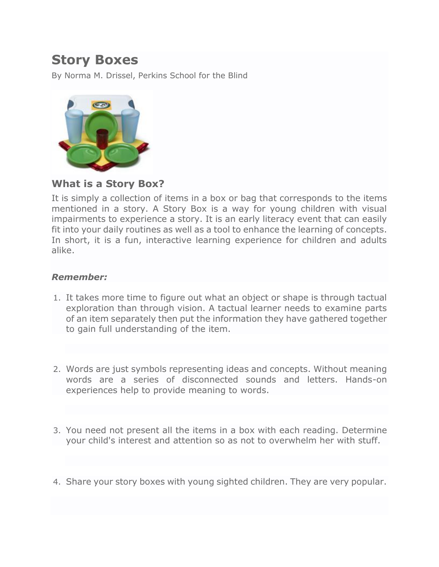## **Story Boxes**

By Norma M. Drissel, Perkins School for the Blind



**What is a Story Box?**

It is simply a collection of items in a box or bag that corresponds to the items mentioned in a story. A Story Box is a way for young children with visual impairments to experience a story. It is an early literacy event that can easily fit into your daily routines as well as a tool to enhance the learning of concepts. In short, it is a fun, interactive learning experience for children and adults alike.

#### *Remember:*

- 1. It takes more time to figure out what an object or shape is through tactual exploration than through vision. A tactual learner needs to examine parts of an item separately then put the information they have gathered together to gain full understanding of the item.
- 2. Words are just symbols representing ideas and concepts. Without meaning words are a series of disconnected sounds and letters. Hands-on experiences help to provide meaning to words.
- 3. You need not present all the items in a box with each reading. Determine your child's interest and attention so as not to overwhelm her with stuff.
- 4. Share your story boxes with young sighted children. They are very popular.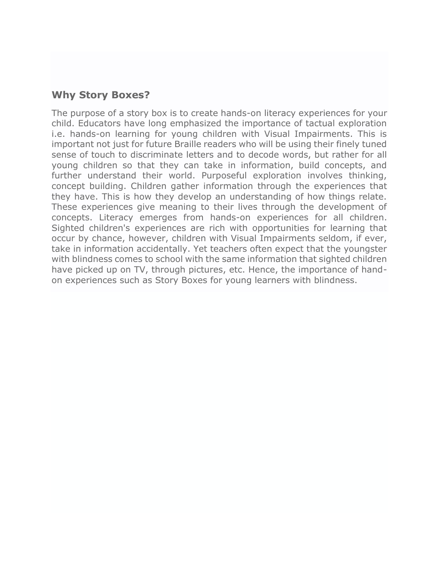#### **Why Story Boxes?**

The purpose of a story box is to create hands-on literacy experiences for your child. Educators have long emphasized the importance of tactual exploration i.e. hands-on learning for young children with Visual Impairments. This is important not just for future Braille readers who will be using their finely tuned sense of touch to discriminate letters and to decode words, but rather for all young children so that they can take in information, build concepts, and further understand their world. Purposeful exploration involves thinking, concept building. Children gather information through the experiences that they have. This is how they develop an understanding of how things relate. These experiences give meaning to their lives through the development of concepts. Literacy emerges from hands-on experiences for all children. Sighted children's experiences are rich with opportunities for learning that occur by chance, however, children with Visual Impairments seldom, if ever, take in information accidentally. Yet teachers often expect that the youngster with blindness comes to school with the same information that sighted children have picked up on TV, through pictures, etc. Hence, the importance of handon experiences such as Story Boxes for young learners with blindness.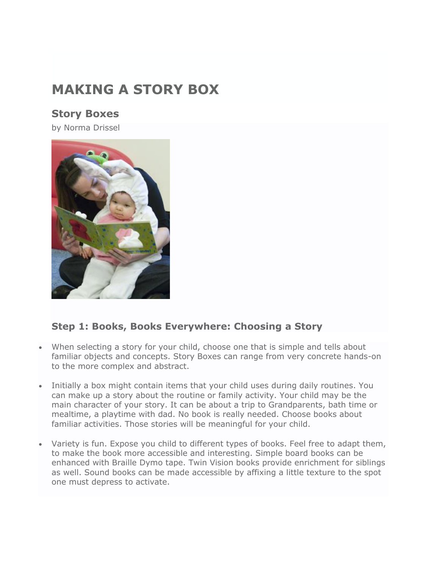# **MAKING A STORY BOX**

### **Story Boxes**

by Norma Drissel



#### **Step 1: Books, Books Everywhere: Choosing a Story**

- When selecting a story for your child, choose one that is simple and tells about familiar objects and concepts. Story Boxes can range from very concrete hands-on to the more complex and abstract.
- Initially a box might contain items that your child uses during daily routines. You can make up a story about the routine or family activity. Your child may be the main character of your story. It can be about a trip to Grandparents, bath time or mealtime, a playtime with dad. No book is really needed. Choose books about familiar activities. Those stories will be meaningful for your child.
- Variety is fun. Expose you child to different types of books. Feel free to adapt them, to make the book more accessible and interesting. Simple board books can be enhanced with Braille Dymo tape. Twin Vision books provide enrichment for siblings as well. Sound books can be made accessible by affixing a little texture to the spot one must depress to activate.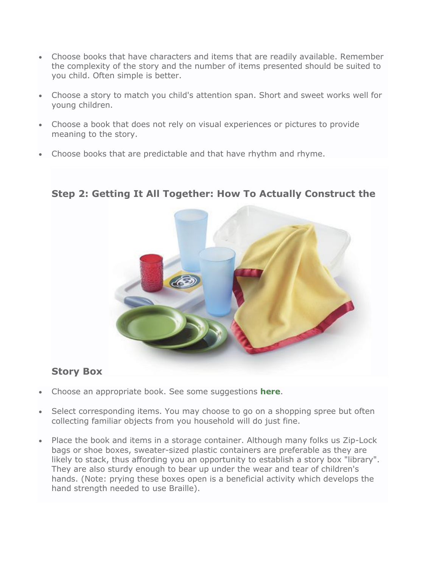- Choose books that have characters and items that are readily available. Remember the complexity of the story and the number of items presented should be suited to you child. Often simple is better.
- Choose a story to match you child's attention span. Short and sweet works well for young children.
- Choose a book that does not rely on visual experiences or pictures to provide meaning to the story.
- Choose books that are predictable and that have rhythm and rhyme.



## **Step 2: Getting It All Together: How To Actually Construct the**

#### **Story Box**

- Choose an appropriate book. See some suggestions **[here](http://www.pathstoliteracy.org/suggested-list-story-boxes-young-children)**.
- Select corresponding items. You may choose to go on a shopping spree but often collecting familiar objects from you household will do just fine.
- Place the book and items in a storage container. Although many folks us Zip-Lock bags or shoe boxes, sweater-sized plastic containers are preferable as they are likely to stack, thus affording you an opportunity to establish a story box "library". They are also sturdy enough to bear up under the wear and tear of children's hands. (Note: prying these boxes open is a beneficial activity which develops the hand strength needed to use Braille).